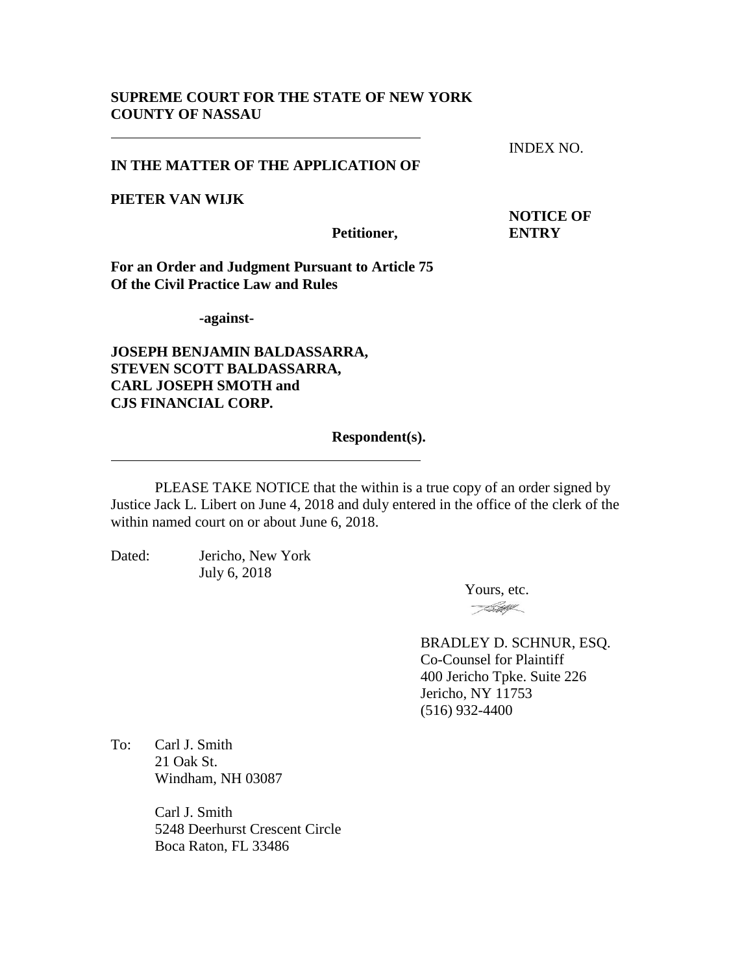## **SUPREME COURT FOR THE STATE OF NEW YORK COUNTY OF NASSAU**

INDEX NO.

## **IN THE MATTER OF THE APPLICATION OF**

**PIETER VAN WIJK**

**Petitioner, ENTRY**

**NOTICE OF**

**For an Order and Judgment Pursuant to Article 75 Of the Civil Practice Law and Rules**

**-against-**

**JOSEPH BENJAMIN BALDASSARRA, STEVEN SCOTT BALDASSARRA, CARL JOSEPH SMOTH and CJS FINANCIAL CORP.**

#### **Respondent(s).**

PLEASE TAKE NOTICE that the within is a true copy of an order signed by Justice Jack L. Libert on June 4, 2018 and duly entered in the office of the clerk of the within named court on or about June 6, 2018.

Dated: Jericho, New York July 6, 2018

> Yours, etc. <u>- FSHY</u>

BRADLEY D. SCHNUR, ESQ. Co-Counsel for Plaintiff 400 Jericho Tpke. Suite 226 Jericho, NY 11753 (516) 932-4400

To: Carl J. Smith 21 Oak St. Windham, NH 03087

> Carl J. Smith 5248 Deerhurst Crescent Circle Boca Raton, FL 33486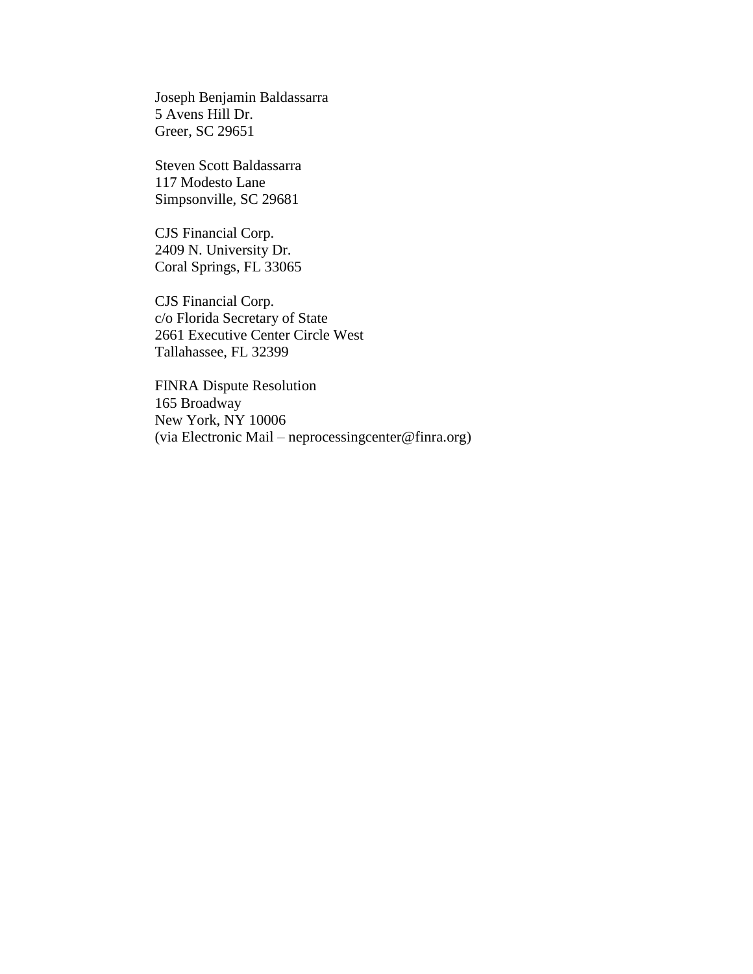Joseph Benjamin Baldassarra 5 Avens Hill Dr. Greer, SC 29651

Steven Scott Baldassarra 117 Modesto Lane Simpsonville, SC 29681

CJS Financial Corp. 2409 N. University Dr. Coral Springs, FL 33065

CJS Financial Corp. c/o Florida Secretary of State 2661 Executive Center Circle West Tallahassee, FL 32399

FINRA Dispute Resolution 165 Broadway New York, NY 10006 (via Electronic Mail – neprocessingcenter@finra.org)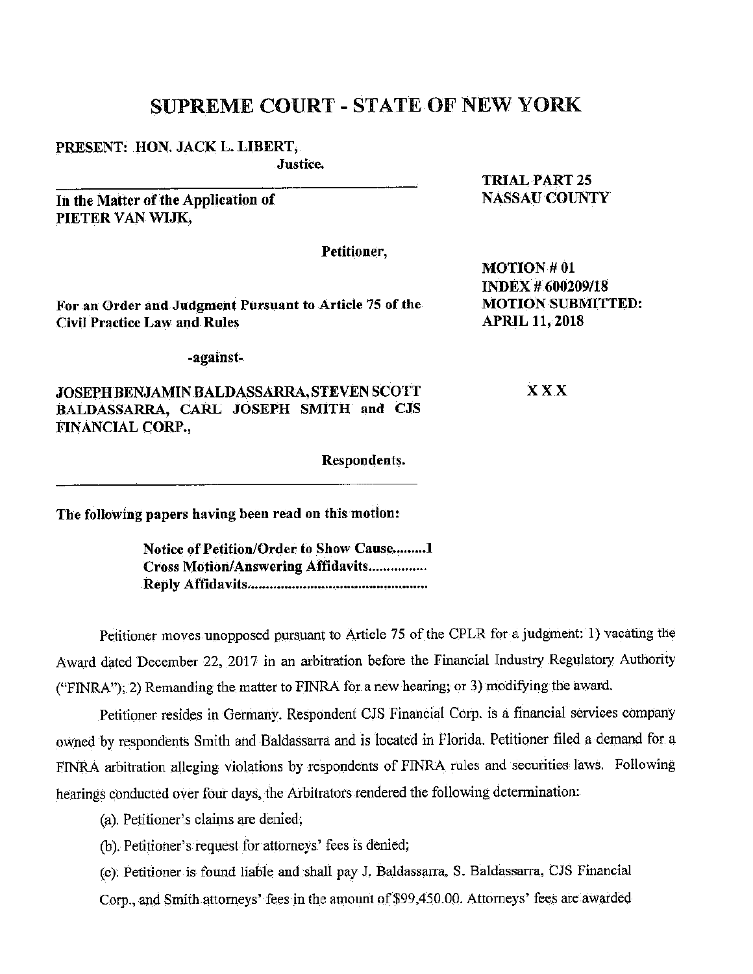# SUPREME COURT - STATE OF NEW YORK

### PRESENT: HON. JACK L. LIBERT,

Justice.

In the Matter of the Application of PIETER VAN WIJK,

Petitioner,

For an Order and Judgment Pursuant to Article 75 of the **Civil Practice Law and Rules** 

-against-

JOSEPH BENJAMIN BALDASSARRA, STEVEN SCOTT BALDASSARRA, CARL JOSEPH SMITH and CJS FINANCIAL CORP.,

Respondents.

**MOTION #01 INDEX # 600209/18 MOTION SUBMITTED: APRIL 11, 2018** 

**TRIAL PART 25 NASSAU COUNTY** 

**XXX** 

The following papers having been read on this motion:

Notice of Petition/Order to Show Cause.........1 **Cross Motion/Answering Affidavits................** 

Petitioner moves unopposed pursuant to Article 75 of the CPLR for a judgment: 1) vacating the Award dated December 22, 2017 in an arbitration before the Financial Industry Regulatory Authority ("FINRA"); 2) Remanding the matter to FINRA for a new hearing; or 3) modifying the award.

Petitioner resides in Germany. Respondent CJS Financial Corp. is a financial services company owned by respondents Smith and Baldassarra and is located in Florida. Petitioner filed a demand for a FINRA arbitration alleging violations by respondents of FINRA rules and securities laws. Following hearings conducted over four days, the Arbitrators rendered the following determination:

(a). Petitioner's claims are denied;

(b). Petitioner's request for attorneys' fees is denied;

(c). Petitioner is found liable and shall pay J. Baldassarra, S. Baldassarra, CJS Financial Corp., and Smith attorneys' fees in the amount of \$99,450.00. Attorneys' fees are awarded